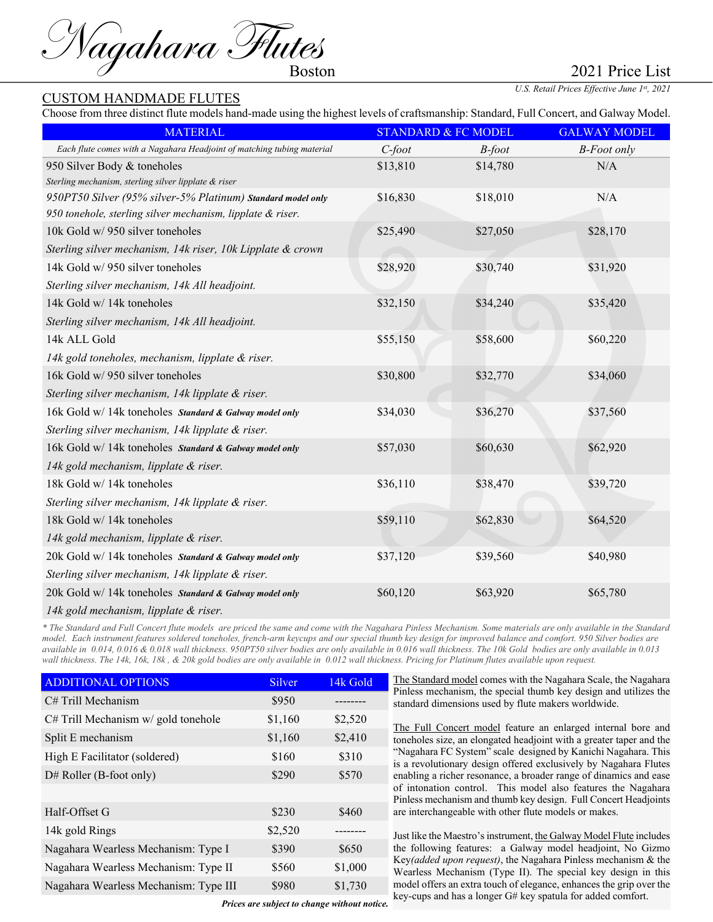Magahara Flutes

## CUSTOM HANDMADE FLUTES

Choose from three distinct flute models hand-made using the highest levels of craftsmanship: Standard, Full Concert, and Galway Model.

| <b>MATERIAL</b>                                                        |           | <b>STANDARD &amp; FC MODEL</b> | <b>GALWAY MODEL</b> |
|------------------------------------------------------------------------|-----------|--------------------------------|---------------------|
| Each flute comes with a Nagahara Headjoint of matching tubing material | $C$ -foot | $B$ -foot                      | <b>B-Foot only</b>  |
| 950 Silver Body & toneholes                                            | \$13,810  | \$14,780                       | N/A                 |
| Sterling mechanism, sterling silver lipplate & riser                   |           |                                |                     |
| 950PT50 Silver (95% silver-5% Platinum) Standard model only            | \$16,830  | \$18,010                       | N/A                 |
| 950 tonehole, sterling silver mechanism, lipplate & riser.             |           |                                |                     |
| 10k Gold w/ 950 silver toneholes                                       | \$25,490  | \$27,050                       | \$28,170            |
| Sterling silver mechanism, 14k riser, 10k Lipplate & crown             |           |                                |                     |
| 14k Gold w/ 950 silver toneholes                                       | \$28,920  | \$30,740                       | \$31,920            |
| Sterling silver mechanism, 14k All headjoint.                          |           |                                |                     |
| 14k Gold w/ 14k toneholes                                              | \$32,150  | \$34,240                       | \$35,420            |
| Sterling silver mechanism, 14k All headjoint.                          |           |                                |                     |
| 14k ALL Gold                                                           | \$55,150  | \$58,600                       | \$60,220            |
| 14k gold toneholes, mechanism, lipplate & riser.                       |           |                                |                     |
| 16k Gold w/ 950 silver toneholes                                       | \$30,800  | \$32,770                       | \$34,060            |
| Sterling silver mechanism, 14k lipplate & riser.                       |           |                                |                     |
| 16k Gold w/ 14k toneholes Standard & Galway model only                 | \$34,030  | \$36,270                       | \$37,560            |
| Sterling silver mechanism, 14k lipplate & riser.                       |           |                                |                     |
| 16k Gold w/ 14k toneholes Standard & Galway model only                 | \$57,030  | \$60,630                       | \$62,920            |
| 14k gold mechanism, lipplate & riser.                                  |           |                                |                     |
| 18k Gold w/ 14k toneholes                                              | \$36,110  | \$38,470                       | \$39,720            |
| Sterling silver mechanism, 14k lipplate & riser.                       |           |                                |                     |
| 18k Gold w/ 14k toneholes                                              | \$59,110  | \$62,830                       | \$64,520            |
| 14k gold mechanism, lipplate & riser.                                  |           |                                |                     |
| 20k Gold w/ 14k toneholes Standard & Galway model only                 | \$37,120  | \$39,560                       | \$40,980            |
| Sterling silver mechanism, 14k lipplate & riser.                       |           |                                |                     |
| 20k Gold w/ 14k toneholes Standard & Galway model only                 | \$60,120  | \$63,920                       | \$65,780            |
| 14k gold mechanism, lipplate & riser.                                  |           |                                |                     |

*\* The Standard and Full Concert flute models are priced the same and come with the Nagahara Pinless Mechanism. Some materials are only available in the Standard model. Each instrument features soldered toneholes, french-arm keycups and our special thumb key design for improved balance and comfort. 950 Silver bodies are available in 0.014, 0.016 & 0.018 wall thickness. 950PT50 silver bodies are only available in 0.016 wall thickness. The 10k Gold bodies are only available in 0.013 wall thickness. The 14k, 16k, 18k , & 20k gold bodies are only available in 0.012 wall thickness. Pricing for Platinum flutes available upon request.*

| <b>ADDITIONAL OPTIONS</b>             | <b>Silver</b>    | 14k Gold | The Standard model comes with the Nagahara Scale, the Nagahara                                                                    |
|---------------------------------------|------------------|----------|-----------------------------------------------------------------------------------------------------------------------------------|
| C# Trill Mechanism                    | \$950            |          | Pinless mechanism, the special thumb key design and utilizes the<br>standard dimensions used by flute makers worldwide.           |
| C# Trill Mechanism w/ gold tonehole   | \$1,160          | \$2,520  | The Full Concert model feature an enlarged internal bore and                                                                      |
| Split E mechanism                     | \$1,160          | \$2,410  | toneholes size, an elongated headjoint with a greater taper and the                                                               |
| High E Facilitator (soldered)         | \$160            | \$310    | "Nagahara FC System" scale designed by Kanichi Nagahara. This<br>is a revolutionary design offered exclusively by Nagahara Flutes |
| $D#$ Roller (B-foot only)             | \$290            | \$570    | enabling a richer resonance, a broader range of dinamics and ease                                                                 |
|                                       |                  |          | of intonation control. This model also features the Nagahara<br>Pinless mechanism and thumb key design. Full Concert Headjoints   |
| Half-Offset G                         | \$230            | \$460    | are interchangeable with other flute models or makes.                                                                             |
| 14k gold Rings                        | \$2,520          |          | Just like the Maestro's instrument, the Galway Model Flute includes                                                               |
| Nagahara Wearless Mechanism: Type I   | \$390            | \$650    | the following features: a Galway model headjoint, No Gizmo                                                                        |
| Nagahara Wearless Mechanism: Type II  | \$1,000<br>\$560 |          | Key(added upon request), the Nagahara Pinless mechanism $\&$ the<br>Wearless Mechanism (Type II). The special key design in this  |
| Nagahara Wearless Mechanism: Type III | \$980            | \$1,730  | model offers an extra touch of elegance, enhances the grip over the                                                               |
|                                       |                  |          | key-cups and has a longer G# key spatula for added comfort.                                                                       |

*Prices are subject to change without notice.*

## 2021 Price List

*U.S. Retail Prices Effective June 1st, 2021*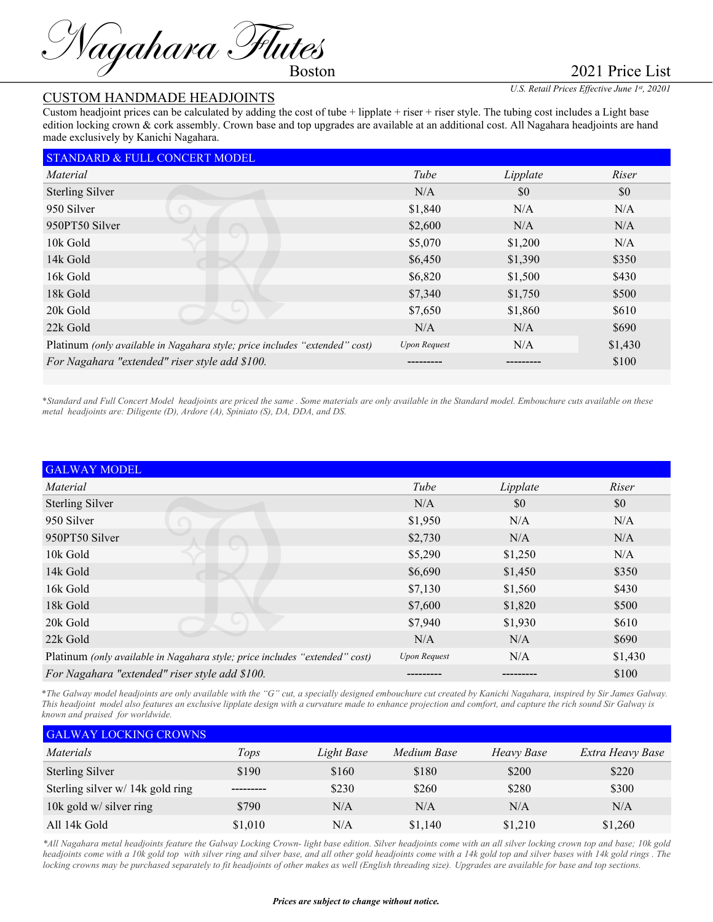Magahara Flutes

2021 Price List

## CUSTOM HANDMADE HEADJOINTS

*U.S. Retail Prices Effective June 1st, 20201*

Custom headjoint prices can be calculated by adding the cost of tube + lipplate + riser + riser style. The tubing cost includes a Light base edition locking crown & cork assembly. Crown base and top upgrades are available at an additional cost. All Nagahara headjoints are hand made exclusively by Kanichi Nagahara.

| STANDARD & FULL CONCERT MODEL                                               |                     |          |         |  |
|-----------------------------------------------------------------------------|---------------------|----------|---------|--|
| Material                                                                    | Tube                | Lipplate | Riser   |  |
| <b>Sterling Silver</b>                                                      | N/A                 | \$0      | \$0     |  |
| 950 Silver                                                                  | \$1,840             | N/A      | N/A     |  |
| 950PT50 Silver                                                              | \$2,600             | N/A      | N/A     |  |
| 10k Gold                                                                    | \$5,070             | \$1,200  | N/A     |  |
| 14k Gold                                                                    | \$6,450             | \$1,390  | \$350   |  |
| 16k Gold                                                                    | \$6,820             | \$1,500  | \$430   |  |
| 18k Gold                                                                    | \$7,340             | \$1,750  | \$500   |  |
| 20k Gold                                                                    | \$7,650             | \$1,860  | \$610   |  |
| 22k Gold                                                                    | N/A                 | N/A      | \$690   |  |
| Platinum (only available in Nagahara style; price includes "extended" cost) | <b>Upon Request</b> | N/A      | \$1,430 |  |
| For Nagahara "extended" riser style add \$100.                              |                     |          | \$100   |  |
|                                                                             |                     |          |         |  |

\**Standard and Full Concert Model headjoints are priced the same . Some materials are only available in the Standard model. Embouchure cuts available on these metal headjoints are: Diligente (D), Ardore (A), Spiniato (S), DA, DDA, and DS.*

| <b>GALWAY MODEL</b>                                                         |                     |          |         |  |  |
|-----------------------------------------------------------------------------|---------------------|----------|---------|--|--|
| Material                                                                    | Tube                | Lipplate | Riser   |  |  |
| <b>Sterling Silver</b>                                                      | N/A                 | \$0      | \$0     |  |  |
| 950 Silver                                                                  | \$1,950             | N/A      | N/A     |  |  |
| 950PT50 Silver                                                              | \$2,730             | N/A      | N/A     |  |  |
| 10k Gold                                                                    | \$5,290             | \$1,250  | N/A     |  |  |
| 14k Gold                                                                    | \$6,690             | \$1,450  | \$350   |  |  |
| 16k Gold                                                                    | \$7,130             | \$1,560  | \$430   |  |  |
| 18k Gold                                                                    | \$7,600             | \$1,820  | \$500   |  |  |
| 20k Gold                                                                    | \$7,940             | \$1,930  | \$610   |  |  |
| 22k Gold                                                                    | N/A                 | N/A      | \$690   |  |  |
| Platinum (only available in Nagahara style; price includes "extended" cost) | <b>Upon Request</b> | N/A      | \$1,430 |  |  |
| For Nagahara "extended" riser style add \$100.                              |                     | -------- | \$100   |  |  |

\**The Galway model headjoints are only available with the "G" cut, a specially designed embouchure cut created by Kanichi Nagahara, inspired by Sir James Galway. This headjoint model also features an exclusive lipplate design with a curvature made to enhance projection and comfort, and capture the rich sound Sir Galway is known and praised for worldwide.*

| <b>GALWAY LOCKING CROWNS</b>     |         |            |             |            |                  |  |
|----------------------------------|---------|------------|-------------|------------|------------------|--|
| <i>Materials</i>                 | Tops    | Light Base | Medium Base | Heavy Base | Extra Heavy Base |  |
| <b>Sterling Silver</b>           | \$190   | \$160      | \$180       | \$200      | \$220            |  |
| Sterling silver w/ 14k gold ring |         | \$230      | \$260       | \$280      | \$300            |  |
| 10k gold w/ silver ring          | \$790   | N/A        | N/A         | N/A        | N/A              |  |
| All 14k Gold                     | \$1,010 | N/A        | \$1,140     | \$1,210    | \$1,260          |  |

*\*All Nagahara metal headjoints feature the Galway Locking Crown- light base edition. Silver headjoints come with an all silver locking crown top and base; 10k gold headjoints come with a 10k gold top with silver ring and silver base, and all other gold headjoints come with a 14k gold top and silver bases with 14k gold rings . The locking crowns may be purchased separately to fit headjoints of other makes as well (English threading size). Upgrades are available for base and top sections.*